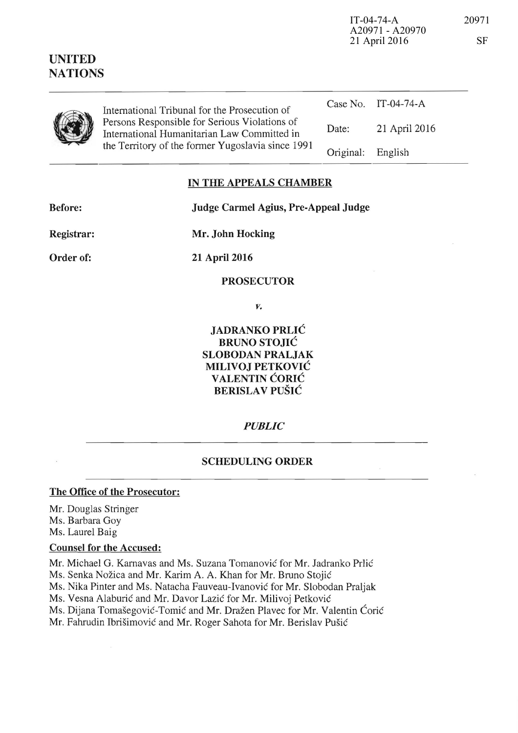| <b>UNITED</b><br><b>NATIONS</b> |                                                                                                                                                   |           | A20971 - A20970<br>21 April 2016 |
|---------------------------------|---------------------------------------------------------------------------------------------------------------------------------------------------|-----------|----------------------------------|
|                                 | International Tribunal for the Prosecution of                                                                                                     | Case No.  | IT-04-74-A                       |
|                                 | Persons Responsible for Serious Violations of<br>International Humanitarian Law Committed in<br>the Territory of the former Yugoslavia since 1991 | Date:     | 21 April 2016                    |
|                                 |                                                                                                                                                   | Original: | English                          |

# IN THE APPEALS CHAMBER

Judge Carmel Agius, Pre-Appeal Judge

**Before:** 

Mr. John Hocking

Order of:

Registrar:

21 April 2016

# **PROSECUTOR**

V.

**JADRANKO PRLIĆ BRUNO STOJIĆ SLOBODAN PRALJAK** MILIVOJ PETKOVIĆ VALENTIN ĆORIĆ **BERISLAV PUŠIĆ** 

# **PUBLIC**

#### **SCHEDULING ORDER**

# The Office of the Prosecutor:

Mr. Douglas Stringer Ms. Barbara Goy Ms. Laurel Baig

# **Counsel for the Accused:**

Mr. Michael G. Karnavas and Ms. Suzana Tomanović for Mr. Jadranko Prlić

Ms. Senka Nožica and Mr. Karim A. A. Khan for Mr. Bruno Stojić

Ms. Nika Pinter and Ms. Natacha Fauveau-Ivanović for Mr. Slobodan Praljak

Ms. Vesna Alaburić and Mr. Davor Lazić for Mr. Milivoj Petković

Ms. Dijana Tomašegović-Tomić and Mr. Dražen Plavec for Mr. Valentin Ćorić

Mr. Fahrudin Ibrišimović and Mr. Roger Sahota for Mr. Berislav Pušić

20971 **SF** 

 $IT-04-74-A$